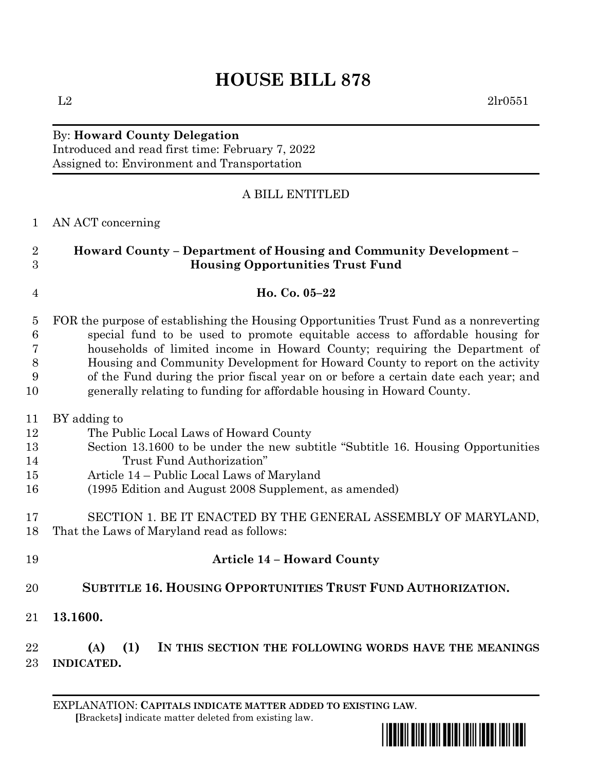# **HOUSE BILL 878**

## By: **Howard County Delegation**

Introduced and read first time: February 7, 2022 Assigned to: Environment and Transportation

## A BILL ENTITLED

## AN ACT concerning

## **Howard County – Department of Housing and Community Development – Housing Opportunities Trust Fund**

### **Ho. Co. 05–22**

 FOR the purpose of establishing the Housing Opportunities Trust Fund as a nonreverting special fund to be used to promote equitable access to affordable housing for households of limited income in Howard County; requiring the Department of Housing and Community Development for Howard County to report on the activity of the Fund during the prior fiscal year on or before a certain date each year; and generally relating to funding for affordable housing in Howard County.

#### BY adding to

- The Public Local Laws of Howard County
- Section 13.1600 to be under the new subtitle "Subtitle 16. Housing Opportunities Trust Fund Authorization"
- Article 14 Public Local Laws of Maryland
- (1995 Edition and August 2008 Supplement, as amended)

## SECTION 1. BE IT ENACTED BY THE GENERAL ASSEMBLY OF MARYLAND, That the Laws of Maryland read as follows:

- **Article 14 – Howard County SUBTITLE 16. HOUSING OPPORTUNITIES TRUST FUND AUTHORIZATION.**
- **13.1600.**

 **(A) (1) IN THIS SECTION THE FOLLOWING WORDS HAVE THE MEANINGS INDICATED.**

EXPLANATION: **CAPITALS INDICATE MATTER ADDED TO EXISTING LAW**.  **[**Brackets**]** indicate matter deleted from existing law.

\*hb0878\*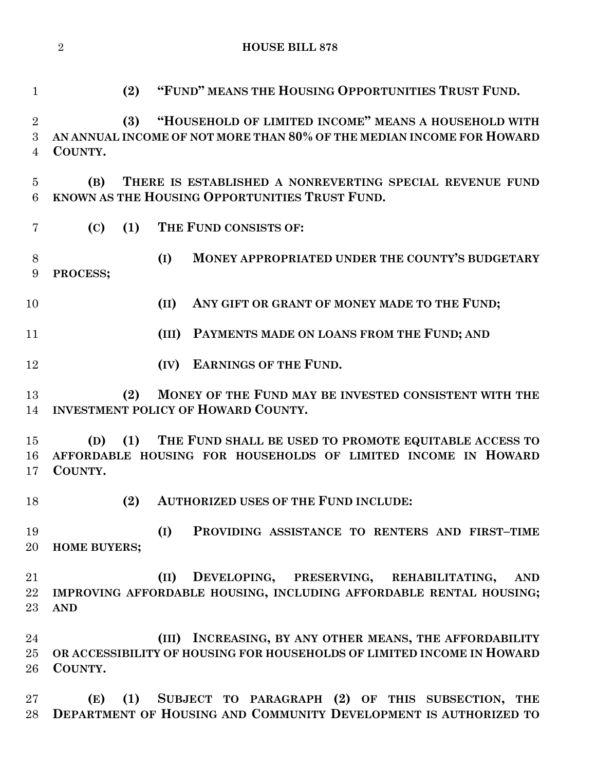**HOUSE BILL 878**

 **(2) "FUND" MEANS THE HOUSING OPPORTUNITIES TRUST FUND. (3) "HOUSEHOLD OF LIMITED INCOME" MEANS A HOUSEHOLD WITH AN ANNUAL INCOME OF NOT MORE THAN 80% OF THE MEDIAN INCOME FOR HOWARD COUNTY. (B) THERE IS ESTABLISHED A NONREVERTING SPECIAL REVENUE FUND KNOWN AS THE HOUSING OPPORTUNITIES TRUST FUND. (C) (1) THE FUND CONSISTS OF: (I) MONEY APPROPRIATED UNDER THE COUNTY'S BUDGETARY PROCESS; (II) ANY GIFT OR GRANT OF MONEY MADE TO THE FUND; (III) PAYMENTS MADE ON LOANS FROM THE FUND; AND (IV) EARNINGS OF THE FUND. (2) MONEY OF THE FUND MAY BE INVESTED CONSISTENT WITH THE INVESTMENT POLICY OF HOWARD COUNTY. (D) (1) THE FUND SHALL BE USED TO PROMOTE EQUITABLE ACCESS TO AFFORDABLE HOUSING FOR HOUSEHOLDS OF LIMITED INCOME IN HOWARD COUNTY. (2) AUTHORIZED USES OF THE FUND INCLUDE: (I) PROVIDING ASSISTANCE TO RENTERS AND FIRST–TIME HOME BUYERS; (II) DEVELOPING, PRESERVING, REHABILITATING, AND IMPROVING AFFORDABLE HOUSING, INCLUDING AFFORDABLE RENTAL HOUSING; AND (III) INCREASING, BY ANY OTHER MEANS, THE AFFORDABILITY OR ACCESSIBILITY OF HOUSING FOR HOUSEHOLDS OF LIMITED INCOME IN HOWARD COUNTY. (E) (1) SUBJECT TO PARAGRAPH (2) OF THIS SUBSECTION, THE** 

**DEPARTMENT OF HOUSING AND COMMUNITY DEVELOPMENT IS AUTHORIZED TO**